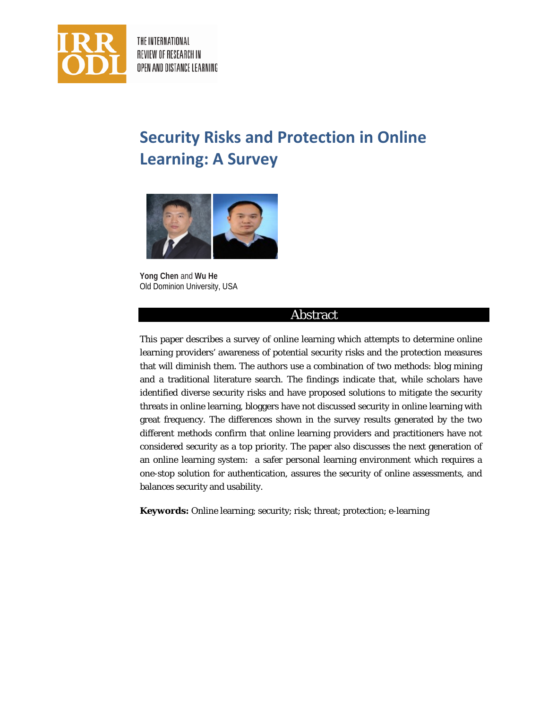

THE INTERNATIONAL REVIEW OF RESEARCH IN OPEN AND DISTANCE LEARNING

# **Security Risks and Protection in Online Learning: A Survey**



**Yong Chen** and **Wu He** Old Dominion University, USA

# Abstract

This paper describes a survey of online learning which attempts to determine online learning providers' awareness of potential security risks and the protection measures that will diminish them. The authors use a combination of two methods: blog mining and a traditional literature search. The findings indicate that, while scholars have identified diverse security risks and have proposed solutions to mitigate the security threats in online learning, bloggers have not discussed security in online learning with great frequency. The differences shown in the survey results generated by the two different methods confirm that online learning providers and practitioners have not considered security as a top priority. The paper also discusses the next generation of an online learning system: a safer personal learning environment which requires a one-stop solution for authentication, assures the security of online assessments, and balances security and usability.

**Keywords:** Online learning; security; risk; threat; protection; e-learning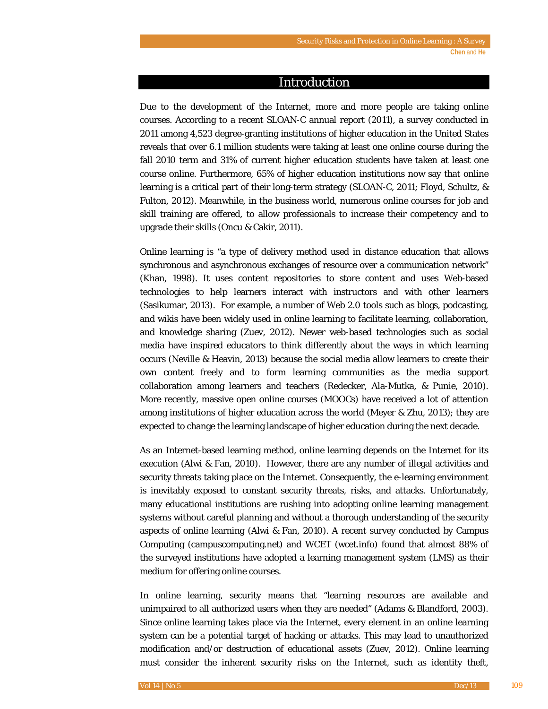## Introduction

Due to the development of the Internet, more and more people are taking online courses. According to a recent SLOAN-C annual report (2011), a survey conducted in 2011 among 4,523 degree-granting institutions of higher education in the United States reveals that over 6.1 million students were taking at least one online course during the fall 2010 term and 31% of current higher education students have taken at least one course online. Furthermore, 65% of higher education institutions now say that online learning is a critical part of their long-term strategy (SLOAN-C, 2011; Floyd, Schultz, & Fulton, 2012). Meanwhile, in the business world, numerous online courses for job and skill training are offered, to allow professionals to increase their competency and to upgrade their skills (Oncu & Cakir, 2011).

Online learning is "a type of delivery method used in distance education that allows synchronous and asynchronous exchanges of resource over a communication network" (Khan, 1998). It uses content repositories to store content and uses Web-based technologies to help learners interact with instructors and with other learners (Sasikumar, 2013). For example, a number of Web 2.0 tools such as blogs, podcasting, and wikis have been widely used in online learning to facilitate learning, collaboration, and knowledge sharing (Zuev, 2012). Newer web-based technologies such as social media have inspired educators to think differently about the ways in which learning occurs (Neville & Heavin, 2013) because the social media allow learners to create their own content freely and to form learning communities as the media support collaboration among learners and teachers (Redecker, Ala-Mutka, & Punie, 2010). More recently, massive open online courses (MOOCs) have received a lot of attention among institutions of higher education across the world (Meyer & Zhu, 2013); they are expected to change the learning landscape of higher education during the next decade.

As an Internet-based learning method, online learning depends on the Internet for its execution (Alwi & Fan, 2010). However, there are any number of illegal activities and security threats taking place on the Internet. Consequently, the e-learning environment is inevitably exposed to constant security threats, risks, and attacks. Unfortunately, many educational institutions are rushing into adopting online learning management systems without careful planning and without a thorough understanding of the security aspects of online learning (Alwi & Fan, 2010). A recent survey conducted by Campus Computing (campuscomputing.net) and WCET (wcet.info) found that almost 88% of the surveyed institutions have adopted a learning management system (LMS) as their medium for offering online courses.

In online learning, security means that "learning resources are available and unimpaired to all authorized users when they are needed" (Adams & Blandford, 2003). Since online learning takes place via the Internet, every element in an online learning system can be a potential target of hacking or attacks. This may lead to unauthorized modification and/or destruction of educational assets (Zuev, 2012). Online learning must consider the inherent security risks on the Internet, such as identity theft,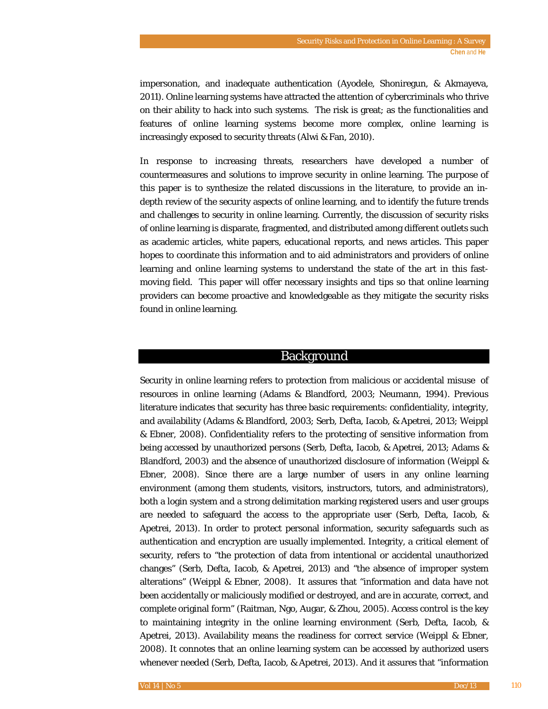impersonation, and inadequate authentication (Ayodele, Shoniregun, & Akmayeva, 2011). Online learning systems have attracted the attention of cybercriminals who thrive on their ability to hack into such systems. The risk is great; as the functionalities and features of online learning systems become more complex, online learning is increasingly exposed to security threats (Alwi & Fan, 2010).

In response to increasing threats, researchers have developed a number of countermeasures and solutions to improve security in online learning. The purpose of this paper is to synthesize the related discussions in the literature, to provide an indepth review of the security aspects of online learning, and to identify the future trends and challenges to security in online learning. Currently, the discussion of security risks of online learning is disparate, fragmented, and distributed among different outlets such as academic articles, white papers, educational reports, and news articles. This paper hopes to coordinate this information and to aid administrators and providers of online learning and online learning systems to understand the state of the art in this fastmoving field. This paper will offer necessary insights and tips so that online learning providers can become proactive and knowledgeable as they mitigate the security risks found in online learning.

## Background

Security in online learning refers to protection from malicious or accidental misuse of resources in online learning (Adams & Blandford, 2003; Neumann, 1994). Previous literature indicates that security has three basic requirements: confidentiality, integrity, and availability (Adams & Blandford, 2003; Serb, Defta, Iacob, & Apetrei, 2013; Weippl & Ebner, 2008). Confidentiality refers to the protecting of sensitive information from being accessed by unauthorized persons (Serb, Defta, Iacob, & Apetrei, 2013; Adams & Blandford, 2003) and the absence of unauthorized disclosure of information (Weippl & Ebner, 2008). Since there are a large number of users in any online learning environment (among them students, visitors, instructors, tutors, and administrators), both a login system and a strong delimitation marking registered users and user groups are needed to safeguard the access to the appropriate user (Serb, Defta, Iacob, & Apetrei, 2013). In order to protect personal information, security safeguards such as authentication and encryption are usually implemented. Integrity, a critical element of security, refers to "the protection of data from intentional or accidental unauthorized changes" (Serb, Defta, Iacob, & Apetrei, 2013) and "the absence of improper system alterations" (Weippl & Ebner, 2008). It assures that "information and data have not been accidentally or maliciously modified or destroyed, and are in accurate, correct, and complete original form" (Raitman, Ngo, Augar, & Zhou, 2005). Access control is the key to maintaining integrity in the online learning environment (Serb, Defta, Iacob, & Apetrei, 2013). Availability means the readiness for correct service (Weippl & Ebner, 2008). It connotes that an online learning system can be accessed by authorized users whenever needed (Serb, Defta, Iacob, & Apetrei, 2013). And it assures that "information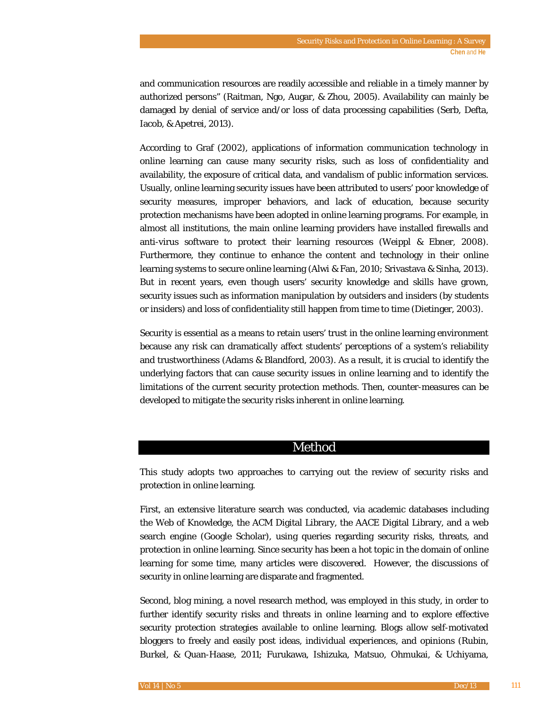and communication resources are readily accessible and reliable in a timely manner by authorized persons" (Raitman, Ngo, Augar, & Zhou, 2005). Availability can mainly be damaged by denial of service and/or loss of data processing capabilities (Serb, Defta, Iacob, & Apetrei, 2013).

According to Graf (2002), applications of information communication technology in online learning can cause many security risks, such as loss of confidentiality and availability, the exposure of critical data, and vandalism of public information services. Usually, online learning security issues have been attributed to users' poor knowledge of security measures, improper behaviors, and lack of education, because security protection mechanisms have been adopted in online learning programs. For example, in almost all institutions, the main online learning providers have installed firewalls and anti-virus software to protect their learning resources (Weippl & Ebner, 2008). Furthermore, they continue to enhance the content and technology in their online learning systems to secure online learning (Alwi & Fan, 2010; Srivastava & Sinha, 2013). But in recent years, even though users' security knowledge and skills have grown, security issues such as information manipulation by outsiders and insiders (by students or insiders) and loss of confidentiality still happen from time to time (Dietinger, 2003).

Security is essential as a means to retain users' trust in the online learning environment because any risk can dramatically affect students' perceptions of a system's reliability and trustworthiness (Adams & Blandford, 2003). As a result, it is crucial to identify the underlying factors that can cause security issues in online learning and to identify the limitations of the current security protection methods. Then, counter-measures can be developed to mitigate the security risks inherent in online learning.

## Method

This study adopts two approaches to carrying out the review of security risks and protection in online learning.

First, an extensive literature search was conducted, via academic databases including the Web of Knowledge, the ACM Digital Library, the AACE Digital Library, and a web search engine (Google Scholar), using queries regarding security risks, threats, and protection in online learning. Since security has been a hot topic in the domain of online learning for some time, many articles were discovered. However, the discussions of security in online learning are disparate and fragmented.

Second, blog mining, a novel research method, was employed in this study, in order to further identify security risks and threats in online learning and to explore effective security protection strategies available to online learning. Blogs allow self-motivated bloggers to freely and easily post ideas, individual experiences, and opinions (Rubin, Burkel, & Quan-Haase, 2011; Furukawa, Ishizuka, Matsuo, Ohmukai, & Uchiyama,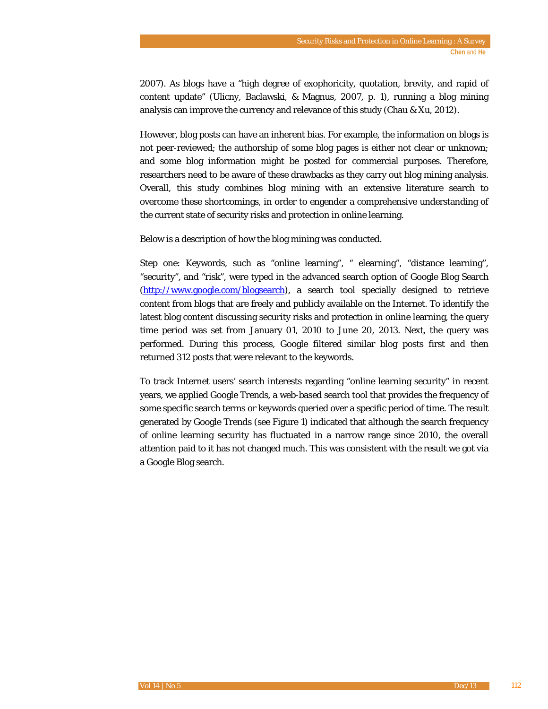2007). As blogs have a "high degree of exophoricity, quotation, brevity, and rapid of content update" (Ulicny, Baclawski, & Magnus, 2007, p. 1), running a blog mining analysis can improve the currency and relevance of this study (Chau & Xu, 2012).

However, blog posts can have an inherent bias. For example, the information on blogs is not peer-reviewed; the authorship of some blog pages is either not clear or unknown; and some blog information might be posted for commercial purposes. Therefore, researchers need to be aware of these drawbacks as they carry out blog mining analysis. Overall, this study combines blog mining with an extensive literature search to overcome these shortcomings, in order to engender a comprehensive understanding of the current state of security risks and protection in online learning.

Below is a description of how the blog mining was conducted.

Step one: Keywords, such as "online learning", " elearning", "distance learning", "security", and "risk", were typed in the advanced search option of Google Blog Search [\(http://www.google.com/blogsearch\)](http://www.google.com/blogsearch), a search tool specially designed to retrieve content from blogs that are freely and publicly available on the Internet. To identify the latest blog content discussing security risks and protection in online learning, the query time period was set from January 01, 2010 to June 20, 2013. Next, the query was performed. During this process, Google filtered similar blog posts first and then returned 312 posts that were relevant to the keywords.

To track Internet users' search interests regarding "online learning security" in recent years, we applied Google Trends, a web-based search tool that provides the frequency of some specific search terms or keywords queried over a specific period of time. The result generated by Google Trends (see Figure 1) indicated that although the search frequency of online learning security has fluctuated in a narrow range since 2010, the overall attention paid to it has not changed much. This was consistent with the result we got via a Google Blog search.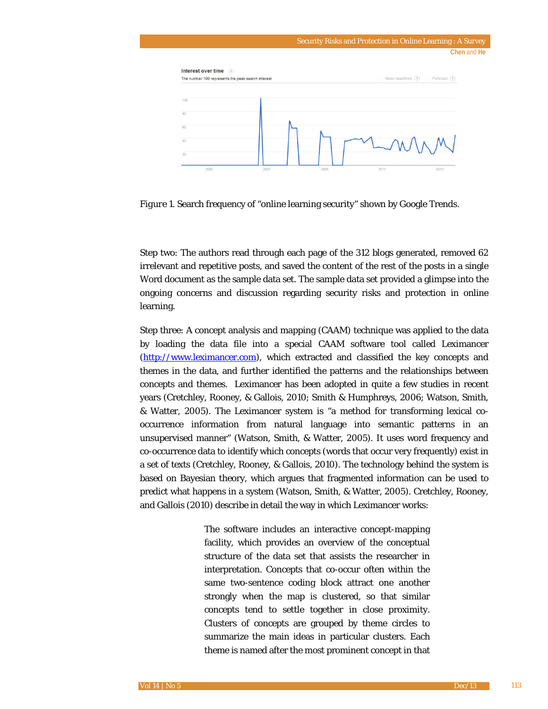

*Figure 1.* Search frequency of "online learning security" shown by Google Trends.

Step two: The authors read through each page of the 312 blogs generated, removed 62 irrelevant and repetitive posts, and saved the content of the rest of the posts in a single Word document as the sample data set. The sample data set provided a glimpse into the ongoing concerns and discussion regarding security risks and protection in online learning.

Step three: A concept analysis and mapping (CAAM) technique was applied to the data by loading the data file into a special CAAM software tool called Leximancer [\(http://www.leximancer.com\)](http://www.leximancer.com/), which extracted and classified the key concepts and themes in the data, and further identified the patterns and the relationships between concepts and themes. Leximancer has been adopted in quite a few studies in recent years (Cretchley, Rooney, & Gallois, 2010; Smith & Humphreys, 2006; Watson, Smith, & Watter, 2005). The Leximancer system is "a method for transforming lexical cooccurrence information from natural language into semantic patterns in an unsupervised manner" (Watson, Smith, & Watter, 2005). It uses word frequency and co-occurrence data to identify which concepts (words that occur very frequently) exist in a set of texts (Cretchley, Rooney, & Gallois, 2010). The technology behind the system is based on Bayesian theory, which argues that fragmented information can be used to predict what happens in a system (Watson, Smith, & Watter, 2005). Cretchley, Rooney, and Gallois (2010) describe in detail the way in which Leximancer works:

> The software includes an interactive concept-mapping facility, which provides an overview of the conceptual structure of the data set that assists the researcher in interpretation. Concepts that co-occur often within the same two-sentence coding block attract one another strongly when the map is clustered, so that similar concepts tend to settle together in close proximity. Clusters of concepts are grouped by theme circles to summarize the main ideas in particular clusters. Each theme is named after the most prominent concept in that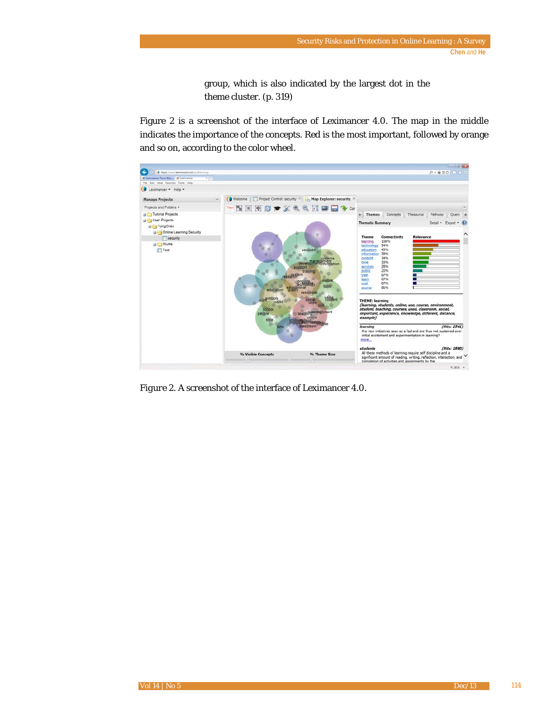group, which is also indicated by the largest dot in the theme cluster. (p. 319)

Figure 2 is a screenshot of the interface of Leximancer 4.0. The map in the middle indicates the importance of the concepts. Red is the most important, followed by orange and so on, according to the color wheel.



*Figure 2.* A screenshot of the interface of Leximancer 4.0.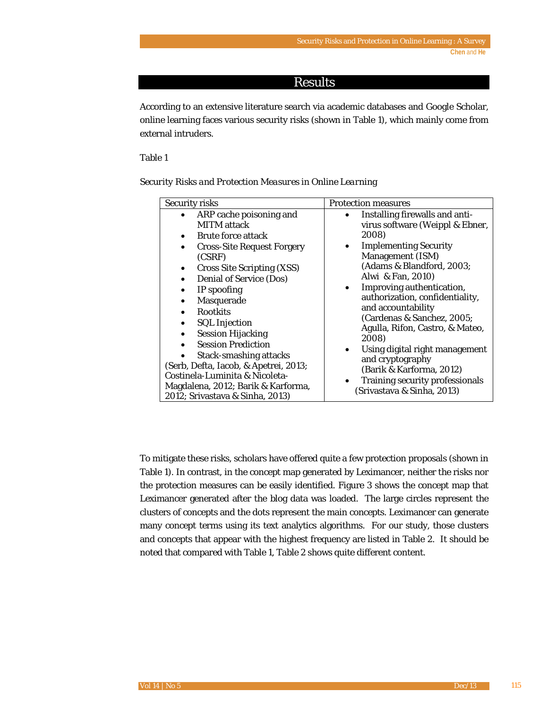# Results

According to an extensive literature search via academic databases and Google Scholar, online learning faces various security risks (shown in Table 1), which mainly come from external intruders.

#### Table 1

| Security Risks and Protection Measures in Online Learning |  |  |
|-----------------------------------------------------------|--|--|
|                                                           |  |  |

| <b>Security risks</b>                                                                                                                                                                                                                                                                                                                                                                                                                                                                                                                                             | <b>Protection measures</b>                                                                                                                                                                                                                                                                                                                                                                                                                                                                          |  |
|-------------------------------------------------------------------------------------------------------------------------------------------------------------------------------------------------------------------------------------------------------------------------------------------------------------------------------------------------------------------------------------------------------------------------------------------------------------------------------------------------------------------------------------------------------------------|-----------------------------------------------------------------------------------------------------------------------------------------------------------------------------------------------------------------------------------------------------------------------------------------------------------------------------------------------------------------------------------------------------------------------------------------------------------------------------------------------------|--|
| ARP cache poisoning and<br><b>MITM</b> attack<br><b>Brute force attack</b><br><b>Cross-Site Request Forgery</b><br>$\bullet$<br>(CSRF)<br><b>Cross Site Scripting (XSS)</b><br>$\bullet$<br><b>Denial of Service (Dos)</b><br>$\bullet$<br>IP spoofing<br>$\bullet$<br>Masquerade<br>$\bullet$<br><b>Rootkits</b><br><b>SQL</b> Injection<br><b>Session Hijacking</b><br>$\bullet$<br><b>Session Prediction</b><br><b>Stack-smashing attacks</b><br>(Serb, Defta, Iacob, & Apetrei, 2013;<br>Costinela-Luminita & Nicoleta-<br>Magdalena, 2012; Barik & Karforma, | Installing firewalls and anti-<br>virus software (Weippl & Ebner,<br>2008)<br><b>Implementing Security</b><br>Management (ISM)<br>(Adams & Blandford, 2003;<br>Alwi & Fan, 2010)<br>Improving authentication,<br>authorization, confidentiality,<br>and accountability<br>(Cardenas & Sanchez, 2005;<br>Agulla, Rifon, Castro, & Mateo,<br>2008)<br>Using digital right management<br>and cryptography<br>(Barik & Karforma, 2012)<br>Training security professionals<br>(Srivastava & Sinha, 2013) |  |
| 2012; Srivastava & Sinha, 2013)                                                                                                                                                                                                                                                                                                                                                                                                                                                                                                                                   |                                                                                                                                                                                                                                                                                                                                                                                                                                                                                                     |  |

To mitigate these risks, scholars have offered quite a few protection proposals (shown in Table 1). In contrast, in the concept map generated by Leximancer, neither the risks nor the protection measures can be easily identified. Figure 3 shows the concept map that Leximancer generated after the blog data was loaded. The large circles represent the clusters of concepts and the dots represent the main concepts. Leximancer can generate many concept terms using its text analytics algorithms. For our study, those clusters and concepts that appear with the highest frequency are listed in Table 2. It should be noted that compared with Table 1, Table 2 shows quite different content.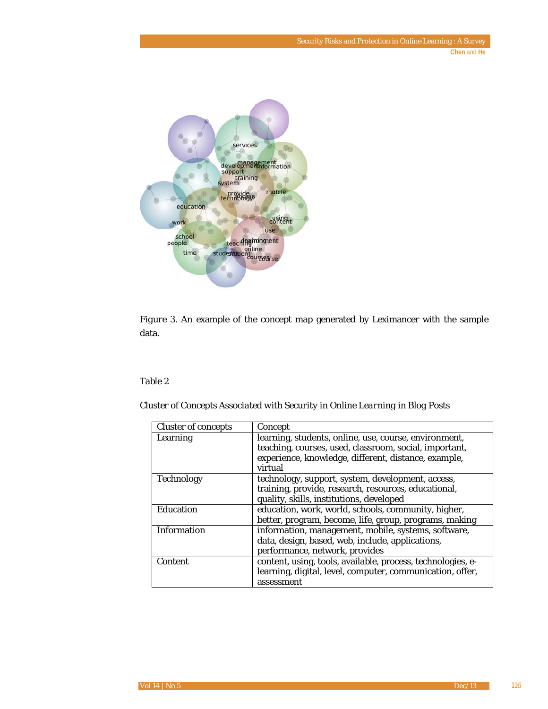

*Figure 3*. An example of the concept map generated by Leximancer with the sample data.

## Table 2

*Cluster of Concepts Associated with Security in Online Learning in Blog Posts*

| <b>Cluster of concepts</b> | Concept                                                     |
|----------------------------|-------------------------------------------------------------|
| Learning                   | learning, students, online, use, course, environment,       |
|                            | teaching, courses, used, classroom, social, important,      |
|                            | experience, knowledge, different, distance, example,        |
|                            | virtual                                                     |
| <b>Technology</b>          | technology, support, system, development, access,           |
|                            | training, provide, research, resources, educational,        |
|                            | quality, skills, institutions, developed                    |
| Education                  | education, work, world, schools, community, higher,         |
|                            | better, program, become, life, group, programs, making      |
| <b>Information</b>         | information, management, mobile, systems, software,         |
|                            | data, design, based, web, include, applications,            |
|                            | performance, network, provides                              |
| <b>Content</b>             | content, using, tools, available, process, technologies, e- |
|                            | learning, digital, level, computer, communication, offer,   |
|                            | assessment                                                  |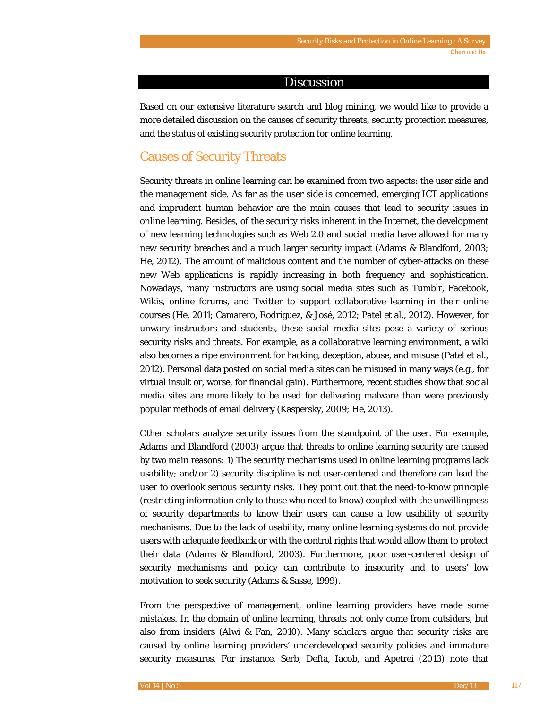#### Discussion

Based on our extensive literature search and blog mining, we would like to provide a more detailed discussion on the causes of security threats, security protection measures, and the status of existing security protection for online learning.

# Causes of Security Threats

Security threats in online learning can be examined from two aspects: the user side and the management side. As far as the user side is concerned, emerging ICT applications and imprudent human behavior are the main causes that lead to security issues in online learning. Besides, of the security risks inherent in the Internet, the development of new learning technologies such as Web 2.0 and social media have allowed for many new security breaches and a much larger security impact (Adams & Blandford, 2003; He, 2012). The amount of malicious content and the number of cyber-attacks on these new Web applications is rapidly increasing in both frequency and sophistication. Nowadays, many instructors are using social media sites such as Tumblr, Facebook, Wikis, online forums, and Twitter to support collaborative learning in their online courses (He, 2011; Camarero, Rodríguez, & José, 2012; Patel et al., 2012). However, for unwary instructors and students, these social media sites pose a variety of serious security risks and threats. For example, as a collaborative learning environment, a wiki also becomes a ripe environment for hacking, deception, abuse, and misuse (Patel et al., 2012). Personal data posted on social media sites can be misused in many ways (e.g., for virtual insult or, worse, for financial gain). Furthermore, recent studies show that social media sites are more likely to be used for delivering malware than were previously popular methods of email delivery (Kaspersky, 2009; He, 2013).

Other scholars analyze security issues from the standpoint of the user. For example, Adams and Blandford (2003) argue that threats to online learning security are caused by two main reasons: 1) The security mechanisms used in online learning programs lack usability; and/or 2) security discipline is not user-centered and therefore can lead the user to overlook serious security risks. They point out that the need-to-know principle (restricting information only to those who need to know) coupled with the unwillingness of security departments to know their users can cause a low usability of security mechanisms. Due to the lack of usability, many online learning systems do not provide users with adequate feedback or with the control rights that would allow them to protect their data (Adams & Blandford, 2003). Furthermore, poor user-centered design of security mechanisms and policy can contribute to insecurity and to users' low motivation to seek security (Adams & Sasse, 1999).

From the perspective of management, online learning providers have made some mistakes. In the domain of online learning, threats not only come from outsiders, but also from insiders (Alwi & Fan, 2010). Many scholars argue that security risks are caused by online learning providers' underdeveloped security policies and immature security measures. For instance, Serb, Defta, Iacob, and Apetrei (2013) note that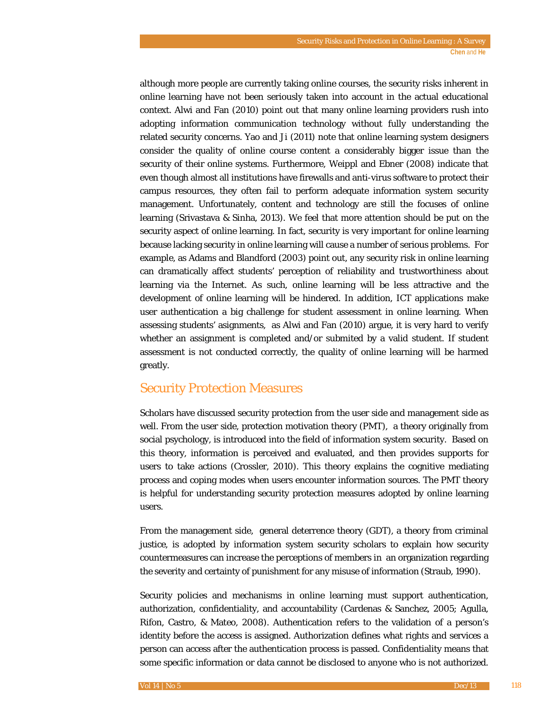although more people are currently taking online courses, the security risks inherent in online learning have not been seriously taken into account in the actual educational context. Alwi and Fan (2010) point out that many online learning providers rush into adopting information communication technology without fully understanding the related security concerns. Yao and Ji (2011) note that online learning system designers consider the quality of online course content a considerably bigger issue than the security of their online systems. Furthermore, Weippl and Ebner (2008) indicate that even though almost all institutions have firewalls and anti-virus software to protect their campus resources, they often fail to perform adequate information system security management. Unfortunately, content and technology are still the focuses of online learning (Srivastava & Sinha, 2013). We feel that more attention should be put on the security aspect of online learning. In fact, security is very important for online learning because lacking security in online learning will cause a number of serious problems. For example, as Adams and Blandford (2003) point out, any security risk in online learning can dramatically affect students' perception of reliability and trustworthiness about learning via the Internet. As such, online learning will be less attractive and the development of online learning will be hindered. In addition, ICT applications make user authentication a big challenge for student assessment in online learning. When assessing students' asignments, as Alwi and Fan (2010) argue, it is very hard to verify whether an assignment is completed and/or submited by a valid student. If student assessment is not conducted correctly, the quality of online learning will be harmed greatly.

# Security Protection Measures

Scholars have discussed security protection from the user side and management side as well. From the user side, protection motivation theory (PMT), a theory originally from social psychology, is introduced into the field of information system security. Based on this theory, information is perceived and evaluated, and then provides supports for users to take actions (Crossler, 2010). This theory explains the cognitive mediating process and coping modes when users encounter information sources. The PMT theory is helpful for understanding security protection measures adopted by online learning users.

From the management side, general deterrence theory (GDT), a theory from criminal justice, is adopted by information system security scholars to explain how security countermeasures can increase the perceptions of members in an organization regarding the severity and certainty of punishment for any misuse of information (Straub, 1990).

Security policies and mechanisms in online learning must support authentication, authorization, confidentiality, and accountability (Cardenas & Sanchez, 2005; Agulla, Rifon, Castro, & Mateo, 2008). Authentication refers to the validation of a person's identity before the access is assigned. Authorization defines what rights and services a person can access after the authentication process is passed. Confidentiality means that some specific information or data cannot be disclosed to anyone who is not authorized.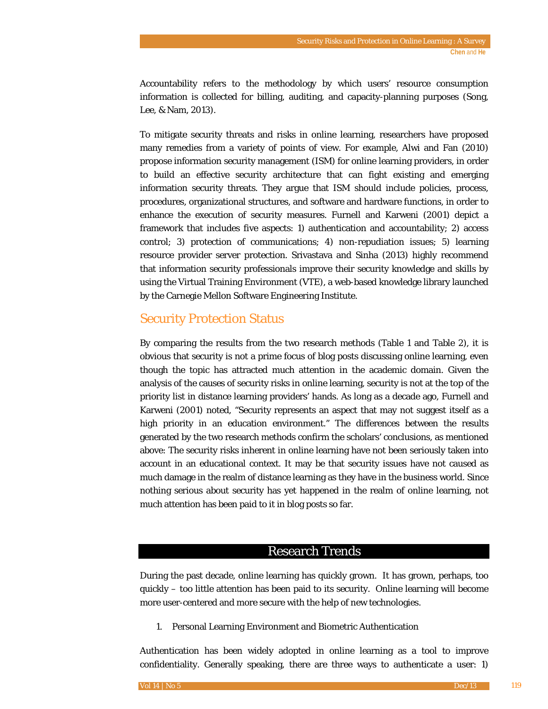Accountability refers to the methodology by which users' resource consumption information is collected for billing, auditing, and capacity-planning purposes (Song, Lee, & Nam, 2013).

To mitigate security threats and risks in online learning, researchers have proposed many remedies from a variety of points of view. For example, Alwi and Fan (2010) propose information security management (ISM) for online learning providers, in order to build an effective security architecture that can fight existing and emerging information security threats. They argue that ISM should include policies, process, procedures, organizational structures, and software and hardware functions, in order to enhance the execution of security measures. Furnell and Karweni (2001) depict a framework that includes five aspects: 1) authentication and accountability; 2) access control; 3) protection of communications; 4) non-repudiation issues; 5) learning resource provider server protection. Srivastava and Sinha (2013) highly recommend that information security professionals improve their security knowledge and skills by using the Virtual Training Environment (VTE), a web-based knowledge library launched by the Carnegie Mellon Software Engineering Institute.

# Security Protection Status

By comparing the results from the two research methods (Table 1 and Table 2), it is obvious that security is not a prime focus of blog posts discussing online learning, even though the topic has attracted much attention in the academic domain. Given the analysis of the causes of security risks in online learning, security is not at the top of the priority list in distance learning providers' hands. As long as a decade ago, Furnell and Karweni (2001) noted, "Security represents an aspect that may not suggest itself as a high priority in an education environment." The differences between the results generated by the two research methods confirm the scholars' conclusions, as mentioned above: The security risks inherent in online learning have not been seriously taken into account in an educational context. It may be that security issues have not caused as much damage in the realm of distance learning as they have in the business world. Since nothing serious about security has yet happened in the realm of online learning, not much attention has been paid to it in blog posts so far.

# Research Trends

During the past decade, online learning has quickly grown. It has grown, perhaps, too quickly – too little attention has been paid to its security. Online learning will become more user-centered and more secure with the help of new technologies.

1. Personal Learning Environment and Biometric Authentication

Authentication has been widely adopted in online learning as a tool to improve confidentiality. Generally speaking, there are three ways to authenticate a user: 1)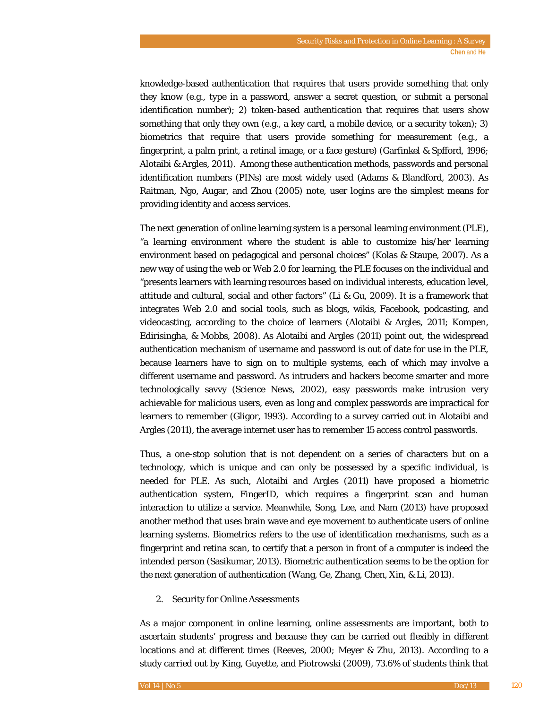knowledge-based authentication that requires that users provide something that only they know (e.g., type in a password, answer a secret question, or submit a personal identification number); 2) token-based authentication that requires that users show something that only they own (e.g., a key card, a mobile device, or a security token); 3) biometrics that require that users provide something for measurement (e.g., a fingerprint, a palm print, a retinal image, or a face gesture) (Garfinkel & Spfford, 1996; Alotaibi & Argles, 2011). Among these authentication methods, passwords and personal identification numbers (PINs) are most widely used (Adams & Blandford, 2003). As Raitman, Ngo, Augar, and Zhou (2005) note, user logins are the simplest means for providing identity and access services.

The next generation of online learning system is a personal learning environment (PLE), "a learning environment where the student is able to customize his/her learning environment based on pedagogical and personal choices" (Kolas & Staupe, 2007). As a new way of using the web or Web 2.0 for learning, the PLE focuses on the individual and "presents learners with learning resources based on individual interests, education level, attitude and cultural, social and other factors" (Li & Gu, 2009). It is a framework that integrates Web 2.0 and social tools, such as blogs, wikis, Facebook, podcasting, and videocasting, according to the choice of learners (Alotaibi & Argles, 2011; Kompen, Edirisingha, & Mobbs, 2008). As Alotaibi and Argles (2011) point out, the widespread authentication mechanism of username and password is out of date for use in the PLE, because learners have to sign on to multiple systems, each of which may involve a different username and password. As intruders and hackers become smarter and more technologically savvy (Science News, 2002), easy passwords make intrusion very achievable for malicious users, even as long and complex passwords are impractical for learners to remember (Gligor, 1993). According to a survey carried out in Alotaibi and Argles (2011), the average internet user has to remember 15 access control passwords.

Thus, a one-stop solution that is not dependent on a series of characters but on a technology, which is unique and can only be possessed by a specific individual, is needed for PLE. As such, Alotaibi and Argles (2011) have proposed a biometric authentication system, FingerID, which requires a fingerprint scan and human interaction to utilize a service. Meanwhile, Song, Lee, and Nam (2013) have proposed another method that uses brain wave and eye movement to authenticate users of online learning systems. Biometrics refers to the use of identification mechanisms, such as a fingerprint and retina scan, to certify that a person in front of a computer is indeed the intended person (Sasikumar, 2013). Biometric authentication seems to be the option for the next generation of authentication (Wang, Ge, Zhang, Chen, Xin, & Li, 2013).

2. Security for Online Assessments

As a major component in online learning, online assessments are important, both to ascertain students' progress and because they can be carried out flexibly in different locations and at different times (Reeves, 2000; Meyer & Zhu, 2013). According to a study carried out by King, Guyette, and Piotrowski (2009), 73.6% of students think that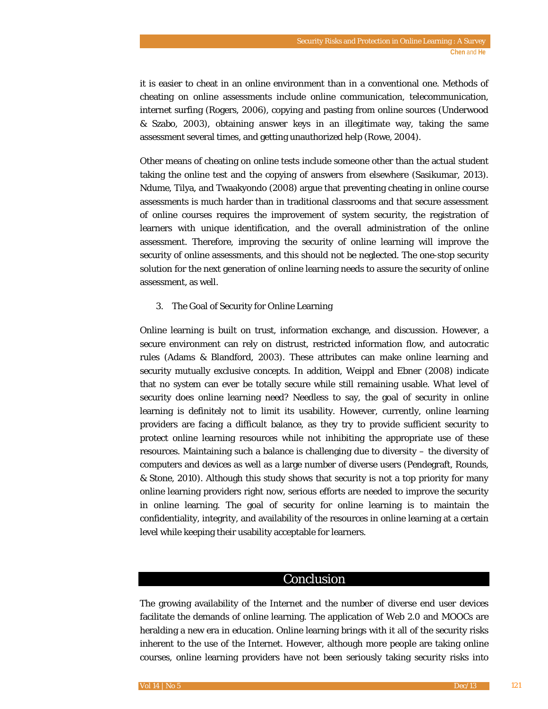it is easier to cheat in an online environment than in a conventional one. Methods of cheating on online assessments include online communication, telecommunication, internet surfing (Rogers, 2006), copying and pasting from online sources (Underwood & Szabo, 2003), obtaining answer keys in an illegitimate way, taking the same assessment several times, and getting unauthorized help (Rowe, 2004).

Other means of cheating on online tests include someone other than the actual student taking the online test and the copying of answers from elsewhere (Sasikumar, 2013). Ndume, Tilya, and Twaakyondo (2008) argue that preventing cheating in online course assessments is much harder than in traditional classrooms and that secure assessment of online courses requires the improvement of system security, the registration of learners with unique identification, and the overall administration of the online assessment. Therefore, improving the security of online learning will improve the security of online assessments, and this should not be neglected. The one-stop security solution for the next generation of online learning needs to assure the security of online assessment, as well.

3. The Goal of Security for Online Learning

Online learning is built on trust, information exchange, and discussion. However, a secure environment can rely on distrust, restricted information flow, and autocratic rules (Adams & Blandford, 2003). These attributes can make online learning and security mutually exclusive concepts. In addition, Weippl and Ebner (2008) indicate that no system can ever be totally secure while still remaining usable. What level of security does online learning need? Needless to say, the goal of security in online learning is definitely not to limit its usability. However, currently, online learning providers are facing a difficult balance, as they try to provide sufficient security to protect online learning resources while not inhibiting the appropriate use of these resources. Maintaining such a balance is challenging due to diversity – the diversity of computers and devices as well as a large number of diverse users (Pendegraft, Rounds, & Stone, 2010). Although this study shows that security is not a top priority for many online learning providers right now, serious efforts are needed to improve the security in online learning. The goal of security for online learning is to maintain the confidentiality, integrity, and availability of the resources in online learning at a certain level while keeping their usability acceptable for learners.

# Conclusion

The growing availability of the Internet and the number of diverse end user devices facilitate the demands of online learning. The application of Web 2.0 and MOOCs are heralding a new era in education. Online learning brings with it all of the security risks inherent to the use of the Internet. However, although more people are taking online courses, online learning providers have not been seriously taking security risks into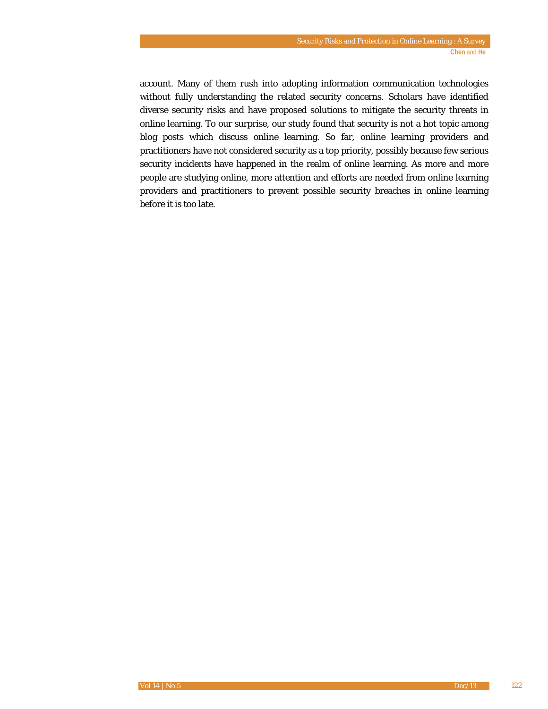account. Many of them rush into adopting information communication technologies without fully understanding the related security concerns. Scholars have identified diverse security risks and have proposed solutions to mitigate the security threats in online learning. To our surprise, our study found that security is not a hot topic among blog posts which discuss online learning. So far, online learning providers and practitioners have not considered security as a top priority, possibly because few serious security incidents have happened in the realm of online learning. As more and more people are studying online, more attention and efforts are needed from online learning providers and practitioners to prevent possible security breaches in online learning before it is too late.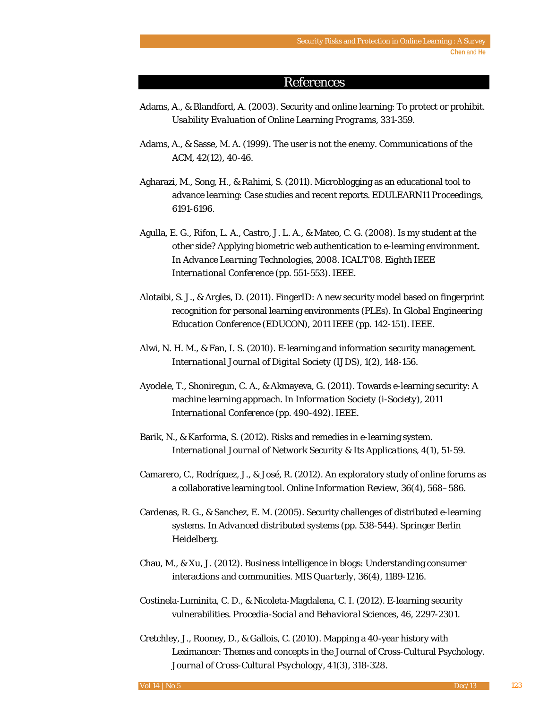## References

- Adams, A., & Blandford, A. (2003). Security and online learning: To protect or prohibit. *Usability Evaluation of Online Learning Programs*, 331-359.
- Adams, A., & Sasse, M. A. (1999). The user is not the enemy. *Communications of the ACM, 42*(12), 40-46.
- Agharazi, M., Song, H., & Rahimi, S. (2011). Microblogging as an educational tool to advance learning: Case studies and recent reports*. EDULEARN11 Proceedings*, 6191-6196.
- Agulla, E. G., Rifon, L. A., Castro, J. L. A., & Mateo, C. G. (2008). Is my student at the other side? Applying biometric web authentication to e-learning environment. In *Advance Learning Technologies, 2008. ICALT'08. Eighth IEEE International Conference* (pp. 551-553). IEEE.
- Alotaibi, S. J., & Argles, D. (2011). FingerID: A new security model based on fingerprint recognition for personal learning environments (PLEs). In *Global Engineering Education Conference (EDUCON), 2011 IEEE* (pp. 142-151). IEEE.
- Alwi, N. H. M., & Fan, I. S. (2010). E-learning and information security management. *International Journal of Digital Society (IJDS)*, *1*(2), 148-156.
- Ayodele, T., Shoniregun, C. A., & Akmayeva, G. (2011). Towards e-learning security: A machine learning approach. In *Information Society (i-Society), 2011 International Conference* (pp. 490-492). IEEE.
- Barik, N., & Karforma, S. (2012). Risks and remedies in e-learning system. *International Journal of Network Security & Its Applications, 4*(1), 51-59.
- Camarero, C., Rodríguez, J., & José, R. (2012). An exploratory study of online forums as a collaborative learning tool. *Online Information Review*, *36*(4), 568–586.
- Cardenas, R. G., & Sanchez, E. M. (2005). Security challenges of distributed e-learning systems. In *Advanced distributed systems* (pp. 538-544). Springer Berlin Heidelberg.
- Chau, M., & Xu, J. (2012). Business intelligence in blogs: Understanding consumer interactions and communities. *MIS Quarterly, 36*(4), 1189-1216.
- Costinela-Luminita, C. D., & Nicoleta-Magdalena, C. I. (2012). E-learning security vulnerabilities. *Procedia-Social and Behavioral Sciences*, *46*, 2297-2301.
- Cretchley, J., Rooney, D., & Gallois, C. (2010). Mapping a 40-year history with Leximancer: Themes and concepts in the Journal of Cross-Cultural Psychology. *Journal of Cross-Cultural Psychology, 41*(3), 318-328.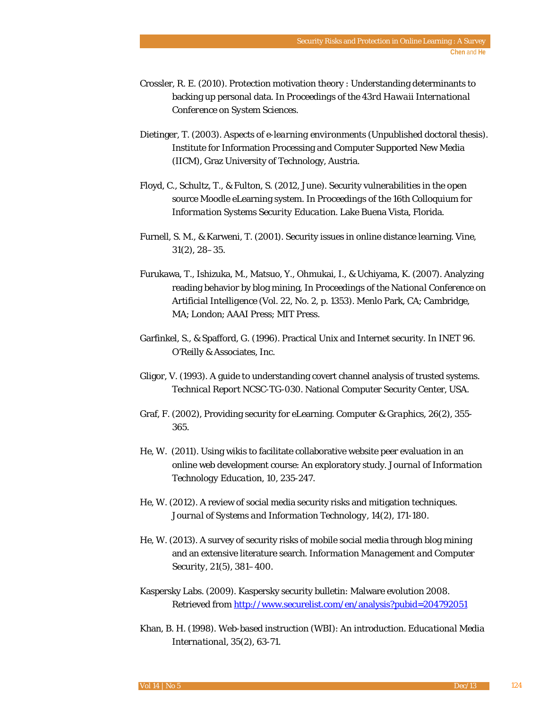- Crossler, R. E. (2010). Protection motivation theory : Understanding determinants to backing up personal data. In *Proceedings of the 43rd Hawaii International Conference on System Sciences*.
- Dietinger, T. (2003). *Aspects of e-learning environments* (Unpublished doctoral thesis). Institute for Information Processing and Computer Supported New Media (IICM), Graz University of Technology, Austria.
- Floyd, C., Schultz, T., & Fulton, S. (2012, June). Security vulnerabilities in the open source Moodle eLearning system. In *Proceedings of the 16th Colloquium for Information Systems Security Education.* Lake Buena Vista, Florida.
- Furnell, S. M., & Karweni, T. (2001). Security issues in online distance learning. *Vine, 31*(2), 28–35.
- Furukawa, T., Ishizuka, M., Matsuo, Y., Ohmukai, I., & Uchiyama, K. (2007). Analyzing reading behavior by blog mining, In *Proceedings of the National Conference on Artificial Intelligence* (Vol. 22, No. 2, p. 1353). Menlo Park, CA; Cambridge, MA; London; AAAI Press; MIT Press.
- Garfinkel, S., & Spafford, G. (1996). Practical Unix and Internet security. In *INET 96*. O'Reilly & Associates, Inc.
- Gligor, V. (1993). A guide to understanding covert channel analysis of trusted systems. *Technical Report NCSC-TG-030*. National Computer Security Center, USA.
- Graf, F. (2002), Providing security for eLearning. *Computer & Graphics, 26*(2), 355- 365.
- He, W. (2011). Using wikis to facilitate collaborative website peer evaluation in an online web development course: An exploratory study. *Journal of Information Technology Education*, *10*, 235-247.
- He, W. (2012). A review of social media security risks and mitigation techniques. *Journal of Systems and Information Technology*, *14*(2), 171-180.
- He, W. (2013). A survey of security risks of mobile social media through blog mining and an extensive literature search*. Information Management and Computer Security, 21*(5), 381–400.
- Kaspersky Labs. (2009). Kaspersky security bulletin: Malware evolution 2008. Retrieved from<http://www.securelist.com/en/analysis?pubid=204792051>
- Khan, B. H. (1998). Web-based instruction (WBI): An introduction. *Educational Media International*, *35*(2), 63-71.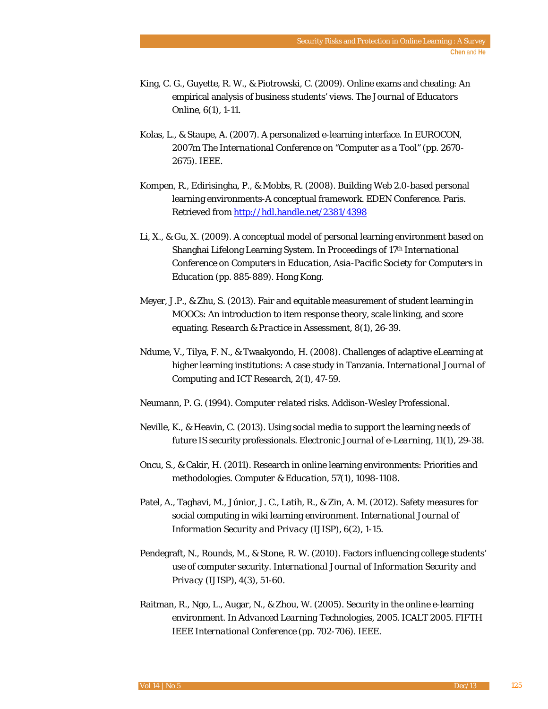- King, C. G., Guyette, R. W., & Piotrowski, C. (2009). Online exams and cheating: An empirical analysis of business students' views. *The Journal of Educators Online, 6*(1), 1-11.
- Kolas, L., & Staupe, A. (2007). A personalized e-learning interface. In *EUROCON, 2007*m *The International Conference on "Computer as a Tool"* (pp. 2670- 2675). IEEE.
- Kompen, R., Edirisingha, P., & Mobbs, R. (2008). Building Web 2.0-based personal learning environments-A conceptual framework. *EDEN Conference.* Paris. Retrieved from<http://hdl.handle.net/2381/4398>
- Li, X., & Gu, X. (2009). A conceptual model of personal learning environment based on Shanghai Lifelong Learning System. In *Proceedings of 17th International Conference on Computers in Education, Asia-Pacific Society for Computers in Education* (pp. 885-889). Hong Kong.
- Meyer, J.P., & Zhu, S. (2013). Fair and equitable measurement of student learning in MOOCs: An introduction to item response theory, scale linking, and score equating. *Research & Practice in Assessment, 8*(1), 26-39.
- Ndume, V., Tilya, F. N., & Twaakyondo, H. (2008). Challenges of adaptive eLearning at higher learning institutions: A case study in Tanzania. *International Journal of Computing and ICT Research, 2*(1), 47-59.
- Neumann, P. G. (1994). *Computer related risks*. Addison-Wesley Professional.
- Neville, K., & Heavin, C. (2013). Using social media to support the learning needs of future IS security professionals. *Electronic Journal of e-Learning, 11*(1), 29-38.
- Oncu, S., & Cakir, H. (2011). Research in online learning environments: Priorities and methodologies. *Computer & Education, 57*(1), 1098-1108.
- Patel, A., Taghavi, M., Júnior, J. C., Latih, R., & Zin, A. M. (2012). Safety measures for social computing in wiki learning environment. *International Journal of Information Security and Privacy (IJISP)*, *6*(2), 1-15.
- Pendegraft, N., Rounds, M., & Stone, R. W. (2010). Factors influencing college students' use of computer security*. International Journal of Information Security and Privacy (IJISP), 4*(3), *51-60.*
- Raitman, R., Ngo, L., Augar, N., & Zhou, W. (2005). Security in the online e-learning environment. In *Advanced Learning Technologies, 2005. ICALT 2005. FIFTH IEEE International Conference* (pp. 702-706). IEEE.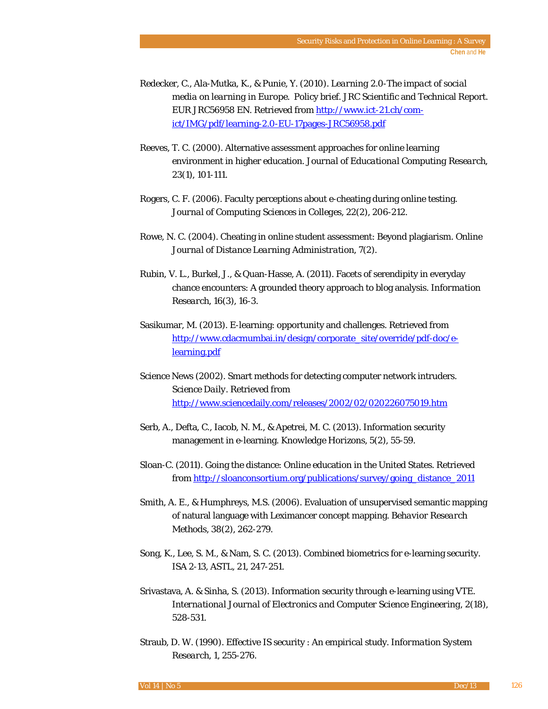- Redecker, C., Ala-Mutka, K., & Punie, Y. (2010). *Learning 2.0-The impact of social media on learning in Europe.* Policy brief. JRC Scientific and Technical Report. EUR JRC56958 EN. Retrieved from [http://www.ict-21.ch/com](http://www.ict-21.ch/com-ict/IMG/pdf/learning-2.0-EU-17pages-JRC56958.pdf)[ict/IMG/pdf/learning-2.0-EU-17pages-JRC56958.pdf](http://www.ict-21.ch/com-ict/IMG/pdf/learning-2.0-EU-17pages-JRC56958.pdf)
- Reeves, T. C. (2000). Alternative assessment approaches for online learning environment in higher education. *Journal of Educational Computing Research, 23*(1), 101-111.
- Rogers, C. F. (2006). Faculty perceptions about e-cheating during online testing. *Journal of Computing Sciences in Colleges, 22*(2), 206-212.
- Rowe, N. C. (2004). Cheating in online student assessment: Beyond plagiarism. *Online Journal of Distance Learning Administration, 7*(2).
- Rubin, V. L., Burkel, J., & Quan-Hasse, A. (2011). Facets of serendipity in everyday chance encounters: A grounded theory approach to blog analysis. *Information Research, 16*(3), 16-3.
- Sasikumar, M. (2013). E-learning: opportunity and challenges. Retrieved from [http://www.cdacmumbai.in/design/corporate\\_site/override/pdf-doc/e](http://www.cdacmumbai.in/design/corporate_site/override/pdf-doc/e-learning.pdf)[learning.pdf](http://www.cdacmumbai.in/design/corporate_site/override/pdf-doc/e-learning.pdf)
- Science News (2002). Smart methods for detecting computer network intruders. *Science Daily*. Retrieved from <http://www.sciencedaily.com/releases/2002/02/020226075019.htm>
- Serb, A., Defta, C., Iacob, N. M., & Apetrei, M. C. (2013). Information security management in e-learning. *Knowledge Horizons, 5*(2), 55-59.
- Sloan-C. (2011). Going the distance: Online education in the United States. Retrieved from [http://sloanconsortium.org/publications/survey/going\\_distance\\_2011](http://sloanconsortium.org/publications/survey/going_distance_2011)
- Smith, A. E., & Humphreys, M.S. (2006). Evaluation of unsupervised semantic mapping of natural language with Leximancer concept mapping. *Behavior Research Methods, 38*(2), 262-279.
- Song, K., Lee, S. M., & Nam, S. C. (2013). Combined biometrics for e-learning security. *ISA 2-13, ASTL, 21*, 247-251.
- Srivastava, A. & Sinha, S. (2013). Information security through e-learning using VTE. *International Journal of Electronics and Computer Science Engineering, 2*(18), 528-531.
- Straub, D. W. (1990). Effective IS security : An empirical study. *Information System Research*, *1*, 255-276.